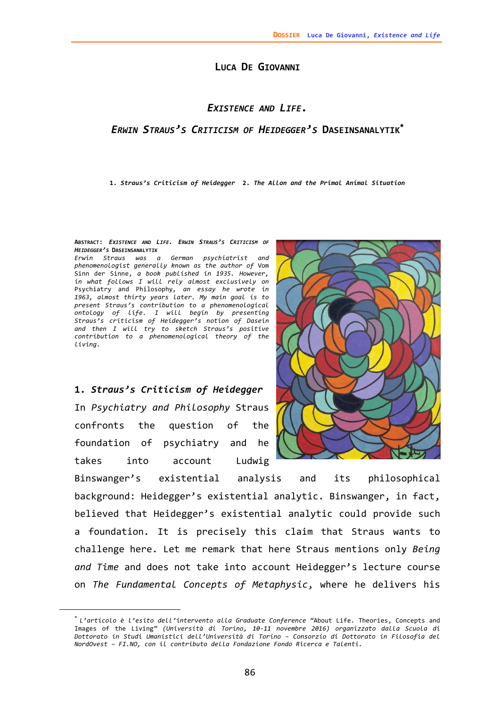## **LUCA DE GIOVANNI**

## *EXISTENCE AND LIFE.*

## *ERWIN STRAUS'S CRITICISM OF HEIDEGGER'S* **DASEINSANALYTIK**

**1.** *Straus's Criticism of Heidegger* **2.** *The Allon and the Primal Animal Situation*

**ABSTRACT:** *EXISTENCE AND LIFE. ERWIN STRAUS'S CRITICISM OF HEIDEGGER'S* **DASEINSANALYTIK**

*Erwin Straus was a German psychiatrist and phenomenologist generally known as the author of* Vom Sinn der Sinne, *a book published in 1935. However, in what follows I will rely almost exclusively on* Psychiatry and Philosophy*, an essay he wrote in 1963, almost thirty years later. My main goal is to present Straus's contribution to a phenomenological ontology of life. I will begin by presenting Straus's criticism of Heidegger's notion of Dasein and then I will try to sketch Straus's positive contribution to a phenomenological theory of the living.*

**1.** *Straus's Criticism of Heidegger* In *Psychiatry and Philosophy* Straus confronts the question of the foundation of psychiatry and he takes into account Ludwig

1



Binswanger's existential analysis and its philosophical background: Heidegger's existential analytic. Binswanger, in fact, believed that Heidegger's existential analytic could provide such a foundation. It is precisely this claim that Straus wants to challenge here. Let me remark that here Straus mentions only *Being and Time* and does not take into account Heidegger's lecture course on *The Fundamental Concepts of Metaphysic*, where he delivers his

*L'articolo <sup>è</sup> l'esito dell'intervento alla Graduate Conference "*About Life. Theories, Concepts and Images of the Living*" (Università di Torino, 10‐11 novembre 2016) organizzato dalla Scuola di Dottorato in Studi Umanistici dell'Università di Torino ‒ Consorzio di Dottorato in Filosofia del NordOvest ‒ FI.NO, con il contributo della Fondazione Fondo Ricerca e Talenti.*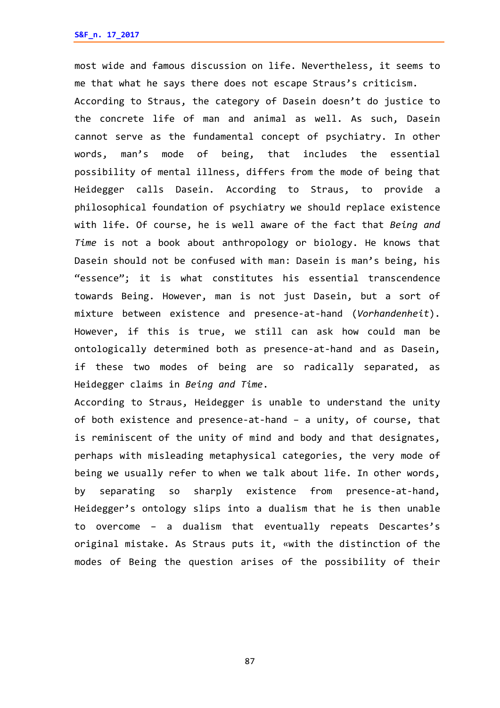most wide and famous discussion on life. Nevertheless, it seems to me that what he says there does not escape Straus's criticism.

According to Straus, the category of Dasein doesn't do justice to the concrete life of man and animal as well. As such, Dasein cannot serve as the fundamental concept of psychiatry. In other words, man's mode of being, that includes the essential possibility of mental illness, differs from the mode of being that Heidegger calls Dasein. According to Straus, to provide a philosophical foundation of psychiatry we should replace existence with life. Of course, he is well aware of the fact that *Being and Time* is not a book about anthropology or biology. He knows that Dasein should not be confused with man: Dasein is man's being, his "essence"; it is what constitutes his essential transcendence towards Being. However, man is not just Dasein, but a sort of mixture between existence and presence‐at‐hand (*Vorhandenheit*). However, if this is true, we still can ask how could man be ontologically determined both as presence‐at‐hand and as Dasein, if these two modes of being are so radically separated, as Heidegger claims in *Being and Time*.

According to Straus, Heidegger is unable to understand the unity of both existence and presence‐at‐hand – a unity, of course, that is reminiscent of the unity of mind and body and that designates, perhaps with misleading metaphysical categories, the very mode of being we usually refer to when we talk about life. In other words, by separating so sharply existence from presence‐at‐hand, Heidegger's ontology slips into a dualism that he is then unable to overcome – a dualism that eventually repeats Descartes's original mistake. As Straus puts it, «with the distinction of the modes of Being the question arises of the possibility of their

87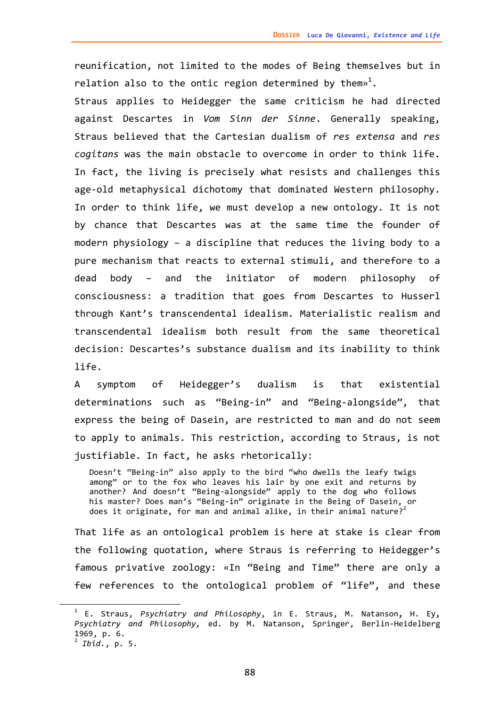reunification, not limited to the modes of Being themselves but in relation also to the ontic region determined by them $\mathbb{P}^1.$ 

Straus applies to Heidegger the same criticism he had directed against Descartes in *Vom Sinn der Sinne*. Generally speaking, Straus believed that the Cartesian dualism of *res extensa* and *res cogitans* was the main obstacle to overcome in order to think life. In fact, the living is precisely what resists and challenges this age‐old metaphysical dichotomy that dominated Western philosophy. In order to think life, we must develop a new ontology. It is not by chance that Descartes was at the same time the founder of modern physiology – a discipline that reduces the living body to a pure mechanism that reacts to external stimuli, and therefore to a dead body – and the initiator of modern philosophy of consciousness: a tradition that goes from Descartes to Husserl through Kant's transcendental idealism. Materialistic realism and transcendental idealism both result from the same theoretical decision: Descartes's substance dualism and its inability to think life.

A symptom of Heidegger's dualism is that existential determinations such as "Being‐in" and "Being‐alongside", that express the being of Dasein, are restricted to man and do not seem to apply to animals. This restriction, according to Straus, is not justifiable. In fact, he asks rhetorically:

Doesn't "Being-in" also apply to the bird "who dwells the leafy twigs among" or to the fox who leaves his lair by one exit and returns by another? And doesn't "Being‐alongside" apply to the dog who follows his master? Does man's "Being-in" originate in the Being of Dasein, or does it originate, for man and animal alike, in their animal nature?<sup>2</sup>

That life as an ontological problem is here at stake is clear from the following quotation, where Straus is referring to Heidegger's famous privative zoology: «In "Being and Time" there are only a few references to the ontological problem of "life", and these

<sup>1</sup> E. Straus, *Psychiatry and Philosophy*, in E. Straus, M. Natanson**,** H. Ey**,** *Psychiatry and Philosophy,* ed. by M. Natanson, Springer, Berlin‐Heidelberg

<sup>&</sup>lt;sup>2</sup> *Ibid.*, p. 5.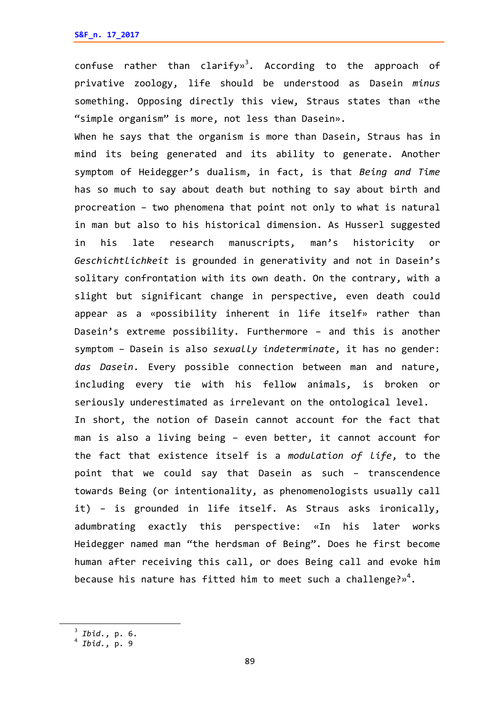confuse rather than clarify»<sup>3</sup>. According to the approach of privative zoology, life should be understood as Dasein *minus* something. Opposing directly this view, Straus states than «the "simple organism" is more, not less than Dasein».

When he says that the organism is more than Dasein, Straus has in mind its being generated and its ability to generate. Another symptom of Heidegger's dualism, in fact, is that *Being and Time* has so much to say about death but nothing to say about birth and procreation – two phenomena that point not only to what is natural in man but also to his historical dimension. As Husserl suggested in his late research manuscripts, man's historicity or *Geschichtlichkeit* is grounded in generativity and not in Dasein's solitary confrontation with its own death. On the contrary, with a slight but significant change in perspective, even death could appear as a «possibility inherent in life itself» rather than Dasein's extreme possibility. Furthermore – and this is another symptom – Dasein is also *sexually indeterminate*, it has no gender: *das Dasein*. Every possible connection between man and nature, including every tie with his fellow animals, is broken or seriously underestimated as irrelevant on the ontological level. In short, the notion of Dasein cannot account for the fact that man is also a living being – even better, it cannot account for the fact that existence itself is a *modulation of life*, to the point that we could say that Dasein as such – transcendence towards Being (or intentionality, as phenomenologists usually call it) – is grounded in life itself. As Straus asks ironically, adumbrating exactly this perspective: «In his later works Heidegger named man "the herdsman of Being". Does he first become

human after receiving this call, or does Being call and evoke him because his nature has fitted him to meet such a challenge?» $^4.$ 

<sup>3</sup> *Ibid.*, p. 6. <sup>4</sup> *Ibid.*, p. <sup>9</sup>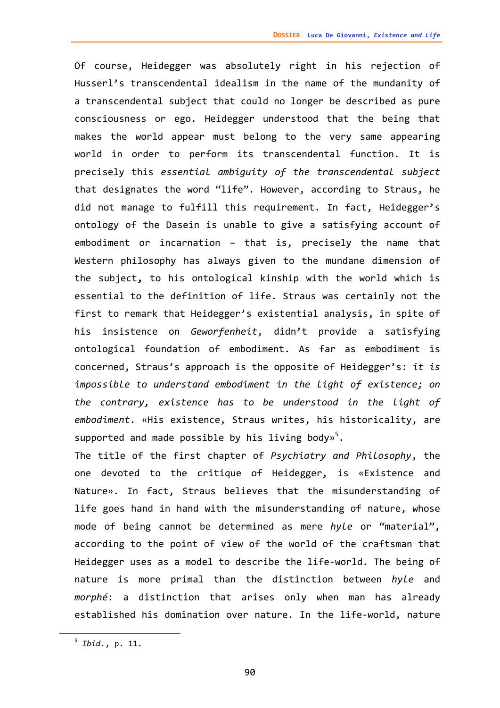Of course, Heidegger was absolutely right in his rejection of Husserl's transcendental idealism in the name of the mundanity of a transcendental subject that could no longer be described as pure consciousness or ego. Heidegger understood that the being that makes the world appear must belong to the very same appearing world in order to perform its transcendental function. It is precisely this *essential ambiguity of the transcendental subject* that designates the word "life". However, according to Straus, he did not manage to fulfill this requirement. In fact, Heidegger's ontology of the Dasein is unable to give a satisfying account of embodiment or incarnation – that is, precisely the name that Western philosophy has always given to the mundane dimension of the subject**,** to his ontological kinship with the world which is essential to the definition of life. Straus was certainly not the first to remark that Heidegger's existential analysis, in spite of his insistence on *Geworfenheit*, didn't provide a satisfying ontological foundation of embodiment. As far as embodiment is concerned, Straus's approach is the opposite of Heidegger's: *it is impossible to understand embodiment in the light of existence; on the contrary, existence has to be understood in the light of embodiment*. «His existence, Straus writes, his historicality, are supported and made possible by his living body»<sup>5</sup>.

The title of the first chapter of *Psychiatry and Philosophy*, the one devoted to the critique of Heidegger, is «Existence and Nature». In fact, Straus believes that the misunderstanding of life goes hand in hand with the misunderstanding of nature, whose mode of being cannot be determined as mere *hyle* or "material", according to the point of view of the world of the craftsman that Heidegger uses as a model to describe the life‐world. The being of nature is more primal than the distinction between *hyle* and *morphé*: a distinction that arises only when man has already established his domination over nature. In the life‐world, nature

<sup>5</sup> *Ibid.*, p. 11.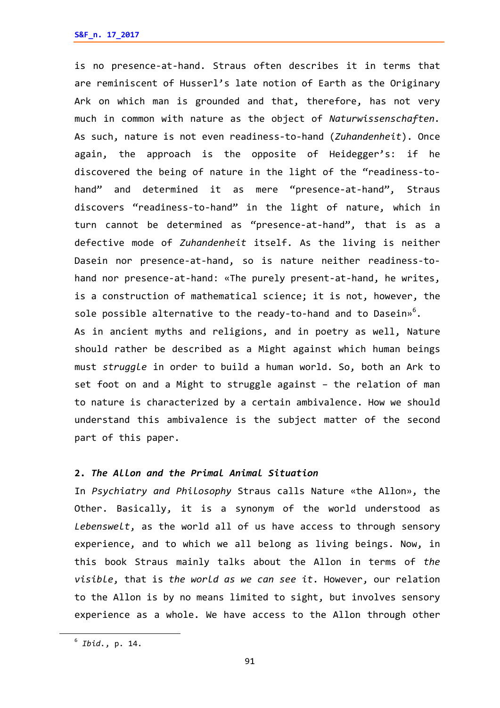is no presence‐at‐hand. Straus often describes it in terms that are reminiscent of Husserl's late notion of Earth as the Originary Ark on which man is grounded and that, therefore, has not very much in common with nature as the object of *Naturwissenschaften.* As such, nature is not even readiness‐to‐hand (*Zuhandenheit*). Once again, the approach is the opposite of Heidegger's: if he discovered the being of nature in the light of the "readiness‐to‐ hand" and determined it as mere "presence-at-hand", Straus discovers "readiness‐to‐hand" in the light of nature, which in turn cannot be determined as "presence‐at‐hand", that is as a defective mode of *Zuhandenheit* itself. As the living is neither Dasein nor presence-at-hand, so is nature neither readiness-tohand nor presence-at-hand: «The purely present-at-hand, he writes, is a construction of mathematical science; it is not, however, the sole possible alternative to the ready-to-hand and to Dasein» $^6$ . As in ancient myths and religions, and in poetry as well, Nature should rather be described as a Might against which human beings must *struggle* in order to build a human world. So, both an Ark to set foot on and a Might to struggle against – the relation of man to nature is characterized by a certain ambivalence. How we should understand this ambivalence is the subject matter of the second

part of this paper.

## **2.** *The Allon and the Primal Animal Situation*

In *Psychiatry and Philosophy* Straus calls Nature «the Allon», the Other. Basically, it is a synonym of the world understood as *Lebenswelt*, as the world all of us have access to through sensory experience, and to which we all belong as living beings. Now, in this book Straus mainly talks about the Allon in terms of *the visible*, that is *the world as we can see it*. However, our relation to the Allon is by no means limited to sight, but involves sensory experience as a whole. We have access to the Allon through other

<sup>6</sup> *Ibid.*, p. 14.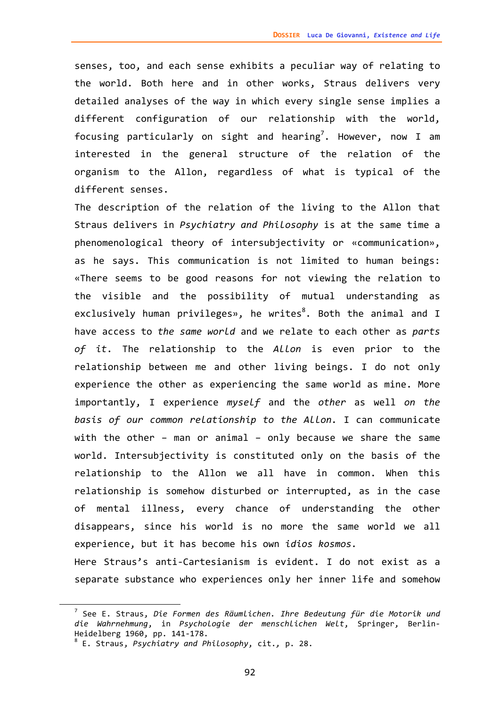senses, too, and each sense exhibits a peculiar way of relating to the world. Both here and in other works, Straus delivers very detailed analyses of the way in which every single sense implies a different configuration of our relationship with the world, focusing particularly on sight and hearing<sup>7</sup>. However, now I am interested in the general structure of the relation of the organism to the Allon, regardless of what is typical of the different senses.

The description of the relation of the living to the Allon that Straus delivers in *Psychiatry and Philosophy* is at the same time a phenomenological theory of intersubjectivity or «communication», as he says. This communication is not limited to human beings: «There seems to be good reasons for not viewing the relation to the visible and the possibility of mutual understanding as exclusively human privileges», he writes $^8$ . Both the animal and I have access to *the same world* and we relate to each other as *parts of it*. The relationship to the *Allon* is even prior to the relationship between me and other living beings. I do not only experience the other as experiencing the same world as mine. More importantly, I experience *myself* and the *other* as well *on the basis of our common relationship to the Allon.* I can communicate with the other – man or animal – only because we share the same world. Intersubjectivity is constituted only on the basis of the relationship to the Allon we all have in common. When this relationship is somehow disturbed or interrupted, as in the case of mental illness, every chance of understanding the other disappears, since his world is no more the same world we all experience, but it has become his own *idios kosmos.*  Here Straus's anti-Cartesianism is evident. I do not exist as a

separate substance who experiences only her inner life and somehow

<sup>7</sup> See E. Straus, *Die Formen des Räumlichen. Ihre Bedeutung für die Motorik und die Wahrnehmung*, in *Psychologie der menschlichen Welt*, Springer, Berlin‐

Heidelberg 1960, pp. <sup>141</sup>‐178. <sup>8</sup> E. Straus, *Psychiatry and Philosophy*, cit.*,* p. 28.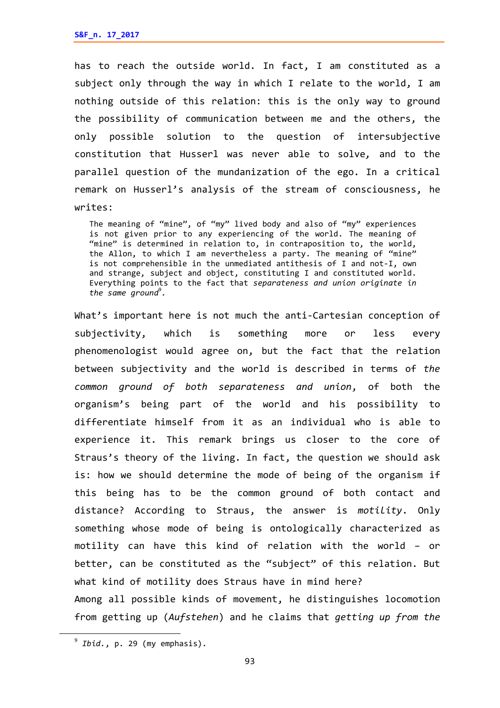has to reach the outside world. In fact, I am constituted as a subject only through the way in which I relate to the world, I am nothing outside of this relation: this is the only way to ground the possibility of communication between me and the others, the only possible solution to the question of intersubjective constitution that Husserl was never able to solve*,* and to the parallel question of the mundanization of the ego. In a critical remark on Husserl's analysis of the stream of consciousness, he writes:

The meaning of "mine", of "my" lived body and also of "my" experiences is not given prior to any experiencing of the world. The meaning of "mine" is determined in relation to, in contraposition to, the world, the Allon, to which I am nevertheless a party. The meaning of "mine" is not comprehensible in the unmediated antithesis of I and not‐I, own and strange, subject and object, constituting I and constituted world. Everything points to the fact that *separateness and union originate in the same ground*<sup>9</sup> *.*

What's important here is not much the anti-Cartesian conception of subjectivity, which is something more or less every phenomenologist would agree on, but the fact that the relation between subjectivity and the world is described in terms of *the common ground of both separateness and union*, of both the organism's being part of the world and his possibility to differentiate himself from it as an individual who is able to experience it. This remark brings us closer to the core of Straus's theory of the living. In fact, the question we should ask is: how we should determine the mode of being of the organism if this being has to be the common ground of both contact and distance? According to Straus, the answer is *motility*. Only something whose mode of being is ontologically characterized as motility can have this kind of relation with the world – or better, can be constituted as the "subject" of this relation. But what kind of motility does Straus have in mind here? Among all possible kinds of movement, he distinguishes locomotion from getting up (*Aufstehen*) and he claims that *getting up from the*

<sup>9</sup> *Ibid.*, p. <sup>29</sup> (my emphasis).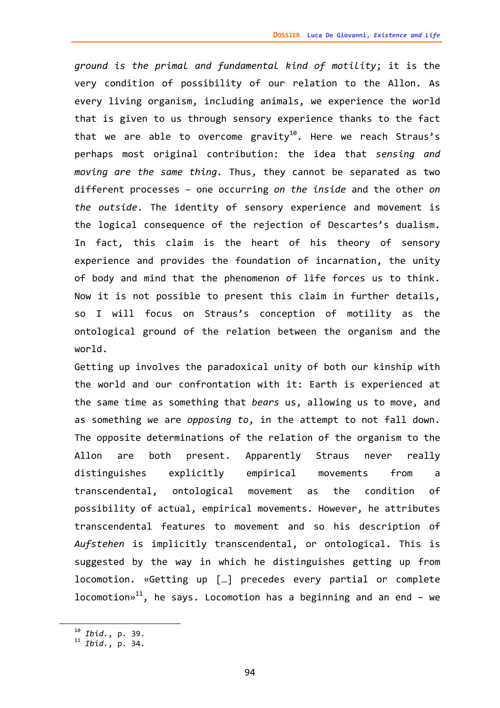*ground is the primal and fundamental kind of motility*; it is the very condition of possibility of our relation to the Allon. As every living organism, including animals, we experience the world that is given to us through sensory experience thanks to the fact that we are able to overcome gravity<sup>10</sup>. Here we reach Straus's perhaps most original contribution: the idea that *sensing and moving are the same thing.* Thus, they cannot be separated as two different processes – one occurring *on the inside* and the other *on the outside*. The identity of sensory experience and movement is the logical consequence of the rejection of Descartes's dualism. In fact, this claim is the heart of his theory of sensory experience and provides the foundation of incarnation, the unity of body and mind that the phenomenon of life forces us to think. Now it is not possible to present this claim in further details, so I will focus on Straus's conception of motility as the ontological ground of the relation between the organism and the world.

Getting up involves the paradoxical unity of both our kinship with the world and our confrontation with it: Earth is experienced at the same time as something that *bears* us, allowing us to move, and as something we are *opposing to*, in the attempt to not fall down. The opposite determinations of the relation of the organism to the Allon are both present. Apparently Straus never really distinguishes explicitly empirical movements from a transcendental, ontological movement as the condition of possibility of actual, empirical movements. However, he attributes transcendental features to movement and so his description of *Aufstehen* is implicitly transcendental, or ontological. This is suggested by the way in which he distinguishes getting up from locomotion. «Getting up […] precedes every partial or complete locomotion»<sup>11</sup>, he says. Locomotion has a beginning and an end – we

<sup>10</sup> *Ibid.*, p. 39. <sup>11</sup> *Ibid.*, p. 34.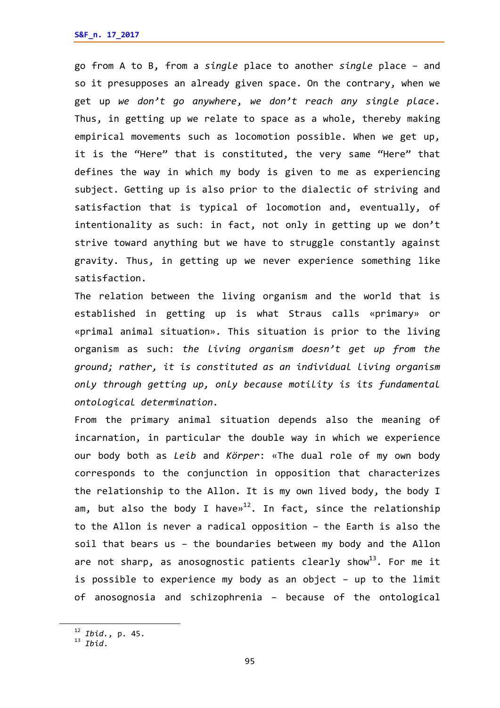go from A to B, from a *single* place to another *single* place – and so it presupposes an already given space. On the contrary, when we get up *we don't go anywhere*, *we don't reach any single place*. Thus, in getting up we relate to space as a whole, thereby making empirical movements such as locomotion possible. When we get up, it is the "Here" that is constituted, the very same "Here" that defines the way in which my body is given to me as experiencing subject. Getting up is also prior to the dialectic of striving and satisfaction that is typical of locomotion and, eventually, of intentionality as such: in fact, not only in getting up we don't strive toward anything but we have to struggle constantly against gravity. Thus, in getting up we never experience something like satisfaction.

The relation between the living organism and the world that is established in getting up is what Straus calls «primary» or «primal animal situation». This situation is prior to the living organism as such: *the living organism doesn't get up from the ground; rather, it is constituted as an individual living organism only through getting up, only because motility is its fundamental ontological determination.*

From the primary animal situation depends also the meaning of incarnation, in particular the double way in which we experience our body both as *Leib* and *Körper*: «The dual role of my own body corresponds to the conjunction in opposition that characterizes the relationship to the Allon. It is my own lived body, the body I am, but also the body I have $v^{12}$ . In fact, since the relationship to the Allon is never a radical opposition – the Earth is also the soil that bears us – the boundaries between my body and the Allon are not sharp, as anosognostic patients clearly show<sup>13</sup>. For me it is possible to experience my body as an object – up to the limit of anosognosia and schizophrenia – because of the ontological

<sup>12</sup> *Ibid.*, p. 45. <sup>13</sup> *Ibid*.